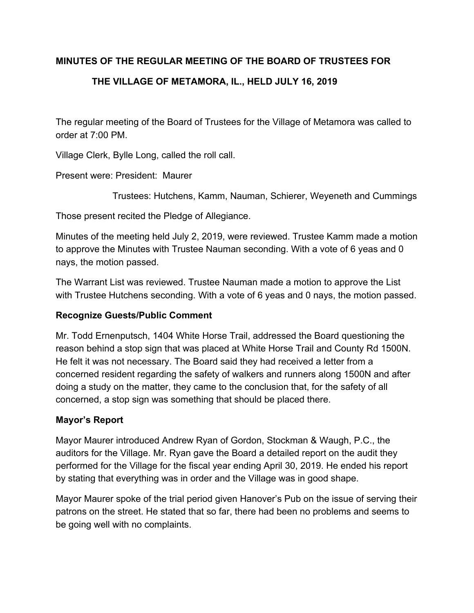## **MINUTES OF THE REGULAR MEETING OF THE BOARD OF TRUSTEES FOR**

# **THE VILLAGE OF METAMORA, IL., HELD JULY 16, 2019**

The regular meeting of the Board of Trustees for the Village of Metamora was called to order at 7:00 PM.

Village Clerk, Bylle Long, called the roll call.

Present were: President: Maurer

Trustees: Hutchens, Kamm, Nauman, Schierer, Weyeneth and Cummings

Those present recited the Pledge of Allegiance.

Minutes of the meeting held July 2, 2019, were reviewed. Trustee Kamm made a motion to approve the Minutes with Trustee Nauman seconding. With a vote of 6 yeas and 0 nays, the motion passed.

The Warrant List was reviewed. Trustee Nauman made a motion to approve the List with Trustee Hutchens seconding. With a vote of 6 yeas and 0 nays, the motion passed.

### **Recognize Guests/Public Comment**

Mr. Todd Ernenputsch, 1404 White Horse Trail, addressed the Board questioning the reason behind a stop sign that was placed at White Horse Trail and County Rd 1500N. He felt it was not necessary. The Board said they had received a letter from a concerned resident regarding the safety of walkers and runners along 1500N and after doing a study on the matter, they came to the conclusion that, for the safety of all concerned, a stop sign was something that should be placed there.

### **Mayor's Report**

Mayor Maurer introduced Andrew Ryan of Gordon, Stockman & Waugh, P.C., the auditors for the Village. Mr. Ryan gave the Board a detailed report on the audit they performed for the Village for the fiscal year ending April 30, 2019. He ended his report by stating that everything was in order and the Village was in good shape.

Mayor Maurer spoke of the trial period given Hanover's Pub on the issue of serving their patrons on the street. He stated that so far, there had been no problems and seems to be going well with no complaints.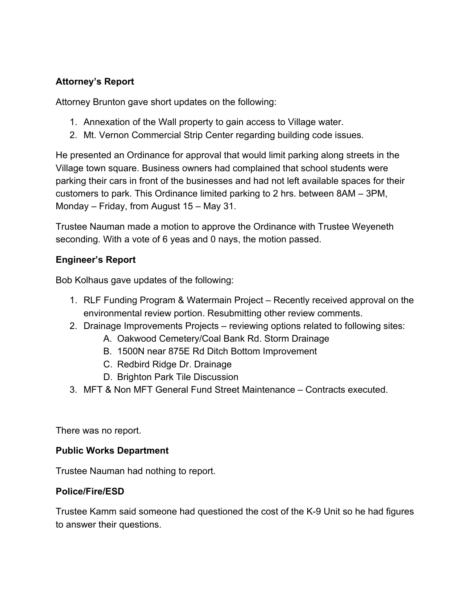## **Attorney's Report**

Attorney Brunton gave short updates on the following:

- 1. Annexation of the Wall property to gain access to Village water.
- 2. Mt. Vernon Commercial Strip Center regarding building code issues.

He presented an Ordinance for approval that would limit parking along streets in the Village town square. Business owners had complained that school students were parking their cars in front of the businesses and had not left available spaces for their customers to park. This Ordinance limited parking to 2 hrs. between 8AM – 3PM, Monday – Friday, from August 15 – May 31.

Trustee Nauman made a motion to approve the Ordinance with Trustee Weyeneth seconding. With a vote of 6 yeas and 0 nays, the motion passed.

### **Engineer's Report**

Bob Kolhaus gave updates of the following:

- 1. RLF Funding Program & Watermain Project Recently received approval on the environmental review portion. Resubmitting other review comments.
- 2. Drainage Improvements Projects reviewing options related to following sites:
	- A. Oakwood Cemetery/Coal Bank Rd. Storm Drainage
	- B. 1500N near 875E Rd Ditch Bottom Improvement
	- C. Redbird Ridge Dr. Drainage
	- D. Brighton Park Tile Discussion
- 3. MFT & Non MFT General Fund Street Maintenance Contracts executed.

There was no report.

### **Public Works Department**

Trustee Nauman had nothing to report.

### **Police/Fire/ESD**

Trustee Kamm said someone had questioned the cost of the K-9 Unit so he had figures to answer their questions.